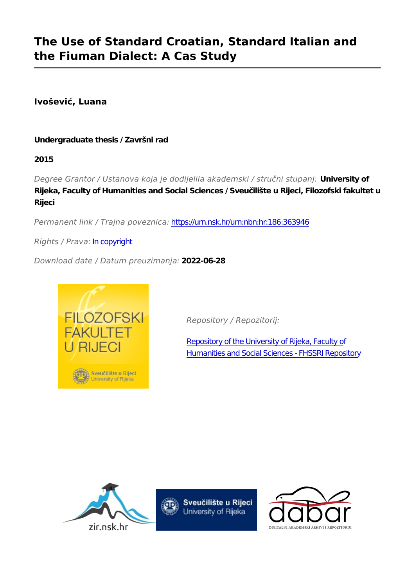# **The Use of Standard Croatian, Standard Italian and the Fiuman Dialect: A Cas Study**

**Ivošević, Luana**

# **Undergraduate thesis / Završni rad**

**2015**

*Degree Grantor / Ustanova koja je dodijelila akademski / stručni stupanj:* **University of Rijeka, Faculty of Humanities and Social Sciences / Sveučilište u Rijeci, Filozofski fakultet u Rijeci**

*Permanent link / Trajna poveznica:* <https://urn.nsk.hr/urn:nbn:hr:186:363946>

*Rights / Prava:* [In copyright](http://rightsstatements.org/vocab/InC/1.0/)

*Download date / Datum preuzimanja:* **2022-06-28**



*Repository / Repozitorij:*

[Repository of the University of Rijeka, Faculty of](https://repository.ffri.uniri.hr) [Humanities and Social Sciences - FHSSRI Repository](https://repository.ffri.uniri.hr)





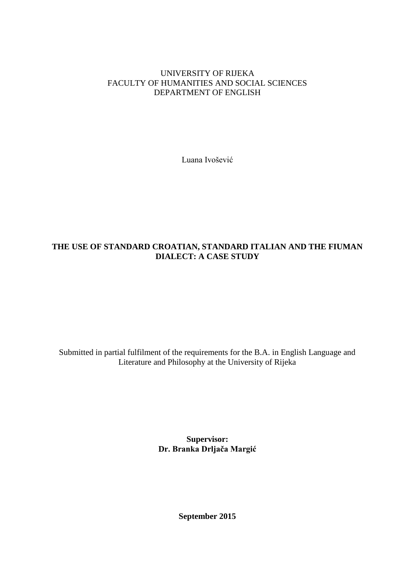#### UNIVERSITY OF RIJEKA FACULTY OF HUMANITIES AND SOCIAL SCIENCES DEPARTMENT OF ENGLISH

Luana Ivošević

# **THE USE OF STANDARD CROATIAN, STANDARD ITALIAN AND THE FIUMAN DIALECT: A CASE STUDY**

Submitted in partial fulfilment of the requirements for the B.A. in English Language and Literature and Philosophy at the University of Rijeka

> **Supervisor: Dr. Branka Drljača Margić**

> > **September 2015**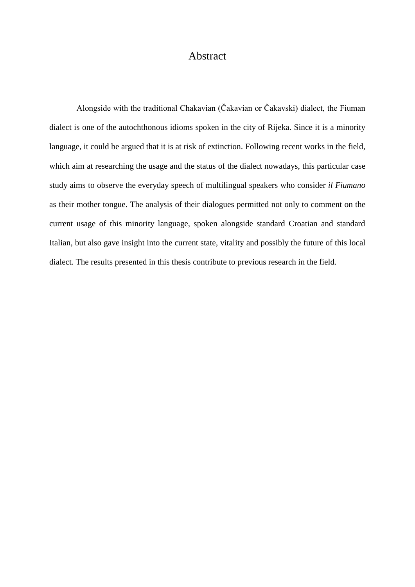# **Abstract**

 Alongside with the traditional Chakavian (Čakavian or Čakavski) dialect, the Fiuman dialect is one of the autochthonous idioms spoken in the city of Rijeka. Since it is a minority language, it could be argued that it is at risk of extinction. Following recent works in the field, which aim at researching the usage and the status of the dialect nowadays, this particular case study aims to observe the everyday speech of multilingual speakers who consider *il Fiumano*  as their mother tongue. The analysis of their dialogues permitted not only to comment on the current usage of this minority language, spoken alongside standard Croatian and standard Italian, but also gave insight into the current state, vitality and possibly the future of this local dialect. The results presented in this thesis contribute to previous research in the field.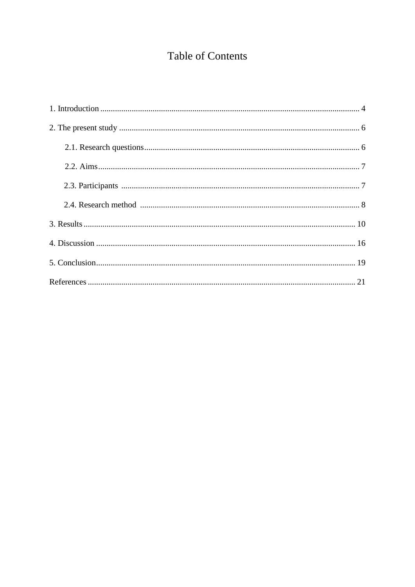# **Table of Contents**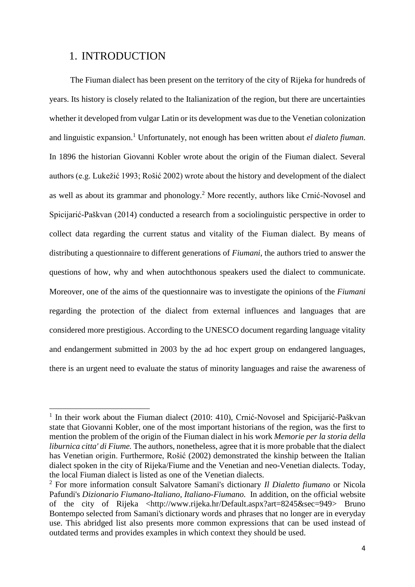# 1. INTRODUCTION

**.** 

 The Fiuman dialect has been present on the territory of the city of Rijeka for hundreds of years. Its history is closely related to the Italianization of the region, but there are uncertainties whether it developed from vulgar Latin or its development was due to the Venetian colonization and linguistic expansion.<sup>1</sup> Unfortunately, not enough has been written about *el dialeto fiuman*. In 1896 the historian Giovanni Kobler wrote about the origin of the Fiuman dialect. Several authors (e.g. Lukežić 1993; Rošić 2002) wrote about the history and development of the dialect as well as about its grammar and phonology.<sup>2</sup> More recently, authors like Crnić-Novosel and Spicijarić-Paškvan (2014) conducted a research from a sociolinguistic perspective in order to collect data regarding the current status and vitality of the Fiuman dialect. By means of distributing a questionnaire to different generations of *Fiumani*, the authors tried to answer the questions of how, why and when autochthonous speakers used the dialect to communicate. Moreover, one of the aims of the questionnaire was to investigate the opinions of the *Fiumani* regarding the protection of the dialect from external influences and languages that are considered more prestigious. According to the UNESCO document regarding language vitality and endangerment submitted in 2003 by the ad hoc expert group on endangered languages, there is an urgent need to evaluate the status of minority languages and raise the awareness of

<sup>&</sup>lt;sup>1</sup> In their work about the Fiuman dialect (2010: 410), Crnić-Novosel and Spicijarić-Paškvan state that Giovanni Kobler, one of the most important historians of the region, was the first to mention the problem of the origin of the Fiuman dialect in his work *Memorie per la storia della liburnica citta' di Fiume.* The authors, nonetheless, agree that it is more probable that the dialect has Venetian origin. Furthermore, Rošić (2002) demonstrated the kinship between the Italian dialect spoken in the city of Rijeka/Fiume and the Venetian and neo-Venetian dialects. Today, the local Fiuman dialect is listed as one of the Venetian dialects.

<sup>2</sup> For more information consult Salvatore Samani's dictionary *Il Dialetto fiumano* or Nicola Pafundi's *Dizionario Fiumano-Italiano, Italiano-Fiumano.* In addition, on the official website of the city of Rijeka <http://www.rijeka.hr/Default.aspx?art=8245&sec=949> Bruno Bontempo selected from Samani's dictionary words and phrases that no longer are in everyday use. This abridged list also presents more common expressions that can be used instead of outdated terms and provides examples in which context they should be used.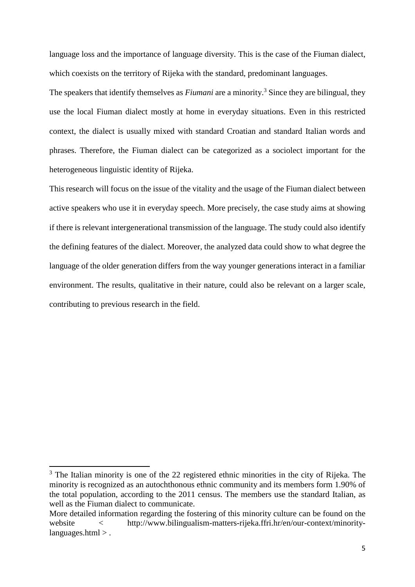language loss and the importance of language diversity. This is the case of the Fiuman dialect, which coexists on the territory of Rijeka with the standard, predominant languages.

The speakers that identify themselves as *Fiumani* are a minority.<sup>3</sup> Since they are bilingual, they use the local Fiuman dialect mostly at home in everyday situations. Even in this restricted context, the dialect is usually mixed with standard Croatian and standard Italian words and phrases. Therefore, the Fiuman dialect can be categorized as a sociolect important for the heterogeneous linguistic identity of Rijeka.

This research will focus on the issue of the vitality and the usage of the Fiuman dialect between active speakers who use it in everyday speech. More precisely, the case study aims at showing if there is relevant intergenerational transmission of the language. The study could also identify the defining features of the dialect. Moreover, the analyzed data could show to what degree the language of the older generation differs from the way younger generations interact in a familiar environment. The results, qualitative in their nature, could also be relevant on a larger scale, contributing to previous research in the field.

**.** 

 $3$  The Italian minority is one of the 22 registered ethnic minorities in the city of Rijeka. The minority is recognized as an autochthonous ethnic community and its members form 1.90% of the total population, according to the 2011 census. The members use the standard Italian, as well as the Fiuman dialect to communicate.

More detailed information regarding the fostering of this minority culture can be found on the website < http://www.bilingualism-matters-rijeka.ffri.hr/en/our-context/minoritylanguages.html > .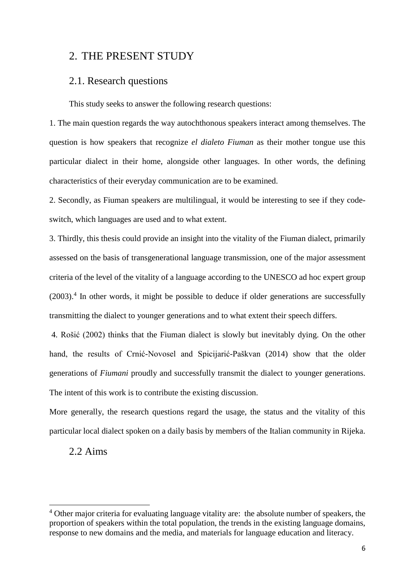# 2. THE PRESENT STUDY

# 2.1. Research questions

This study seeks to answer the following research questions:

1. The main question regards the way autochthonous speakers interact among themselves. The question is how speakers that recognize *el dialeto Fiuman* as their mother tongue use this particular dialect in their home, alongside other languages. In other words, the defining characteristics of their everyday communication are to be examined.

2. Secondly, as Fiuman speakers are multilingual, it would be interesting to see if they codeswitch, which languages are used and to what extent.

3. Thirdly, this thesis could provide an insight into the vitality of the Fiuman dialect, primarily assessed on the basis of transgenerational language transmission, one of the major assessment criteria of the level of the vitality of a language according to the UNESCO ad hoc expert group (2003). 4 In other words, it might be possible to deduce if older generations are successfully transmitting the dialect to younger generations and to what extent their speech differs.

4. Rošić (2002) thinks that the Fiuman dialect is slowly but inevitably dying. On the other hand, the results of Crnić-Novosel and Spicijarić-Paškvan (2014) show that the older generations of *Fiumani* proudly and successfully transmit the dialect to younger generations. The intent of this work is to contribute the existing discussion.

More generally, the research questions regard the usage, the status and the vitality of this particular local dialect spoken on a daily basis by members of the Italian community in Rijeka.

## 2.2 Aims

1

<sup>&</sup>lt;sup>4</sup> Other major criteria for evaluating language vitality are: the absolute number of speakers, the proportion of speakers within the total population, the trends in the existing language domains, response to new domains and the media, and materials for language education and literacy.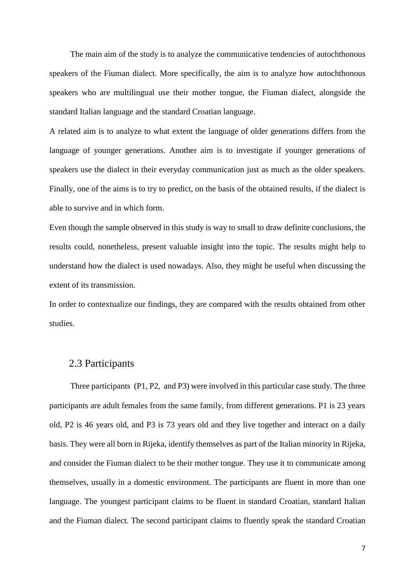The main aim of the study is to analyze the communicative tendencies of autochthonous speakers of the Fiuman dialect. More specifically, the aim is to analyze how autochthonous speakers who are multilingual use their mother tongue, the Fiuman dialect, alongside the standard Italian language and the standard Croatian language.

A related aim is to analyze to what extent the language of older generations differs from the language of younger generations. Another aim is to investigate if younger generations of speakers use the dialect in their everyday communication just as much as the older speakers. Finally, one of the aims is to try to predict, on the basis of the obtained results, if the dialect is able to survive and in which form.

Even though the sample observed in this study is way to small to draw definite conclusions, the results could, nonetheless, present valuable insight into the topic. The results might help to understand how the dialect is used nowadays. Also, they might be useful when discussing the extent of its transmission.

In order to contextualize our findings, they are compared with the results obtained from other studies.

### 2.3 Participants

 Three participants (P1, P2, and P3) were involved in this particular case study. The three participants are adult females from the same family, from different generations. P1 is 23 years old, P2 is 46 years old, and P3 is 73 years old and they live together and interact on a daily basis. They were all born in Rijeka, identify themselves as part of the Italian minority in Rijeka, and consider the Fiuman dialect to be their mother tongue. They use it to communicate among themselves, usually in a domestic environment. The participants are fluent in more than one language. The youngest participant claims to be fluent in standard Croatian, standard Italian and the Fiuman dialect. The second participant claims to fluently speak the standard Croatian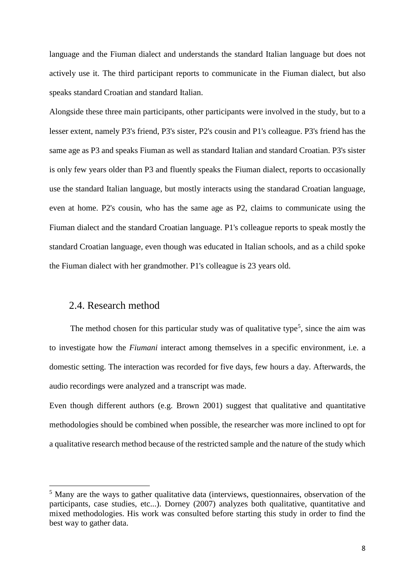language and the Fiuman dialect and understands the standard Italian language but does not actively use it. The third participant reports to communicate in the Fiuman dialect, but also speaks standard Croatian and standard Italian.

Alongside these three main participants, other participants were involved in the study, but to a lesser extent, namely P3's friend, P3's sister, P2's cousin and P1's colleague. P3's friend has the same age as P3 and speaks Fiuman as well as standard Italian and standard Croatian. P3's sister is only few years older than P3 and fluently speaks the Fiuman dialect, reports to occasionally use the standard Italian language, but mostly interacts using the standarad Croatian language, even at home. P2's cousin, who has the same age as P2, claims to communicate using the Fiuman dialect and the standard Croatian language. P1's colleague reports to speak mostly the standard Croatian language, even though was educated in Italian schools, and as a child spoke the Fiuman dialect with her grandmother. P1's colleague is 23 years old.

## 2.4. Research method

 $\overline{a}$ 

The method chosen for this particular study was of qualitative type<sup>5</sup>, since the aim was to investigate how the *Fiumani* interact among themselves in a specific environment, i.e. a domestic setting. The interaction was recorded for five days, few hours a day. Afterwards, the audio recordings were analyzed and a transcript was made.

Even though different authors (e.g. Brown 2001) suggest that qualitative and quantitative methodologies should be combined when possible, the researcher was more inclined to opt for a qualitative research method because of the restricted sample and the nature of the study which

<sup>&</sup>lt;sup>5</sup> Many are the ways to gather qualitative data (interviews, questionnaires, observation of the participants, case studies, etc...). Dorney (2007) analyzes both qualitative, quantitative and mixed methodologies. His work was consulted before starting this study in order to find the best way to gather data.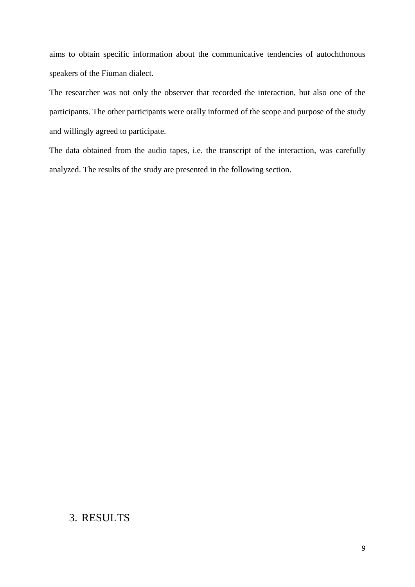aims to obtain specific information about the communicative tendencies of autochthonous speakers of the Fiuman dialect.

The researcher was not only the observer that recorded the interaction, but also one of the participants. The other participants were orally informed of the scope and purpose of the study and willingly agreed to participate.

The data obtained from the audio tapes, i.e. the transcript of the interaction, was carefully analyzed. The results of the study are presented in the following section.

# 3. RESULTS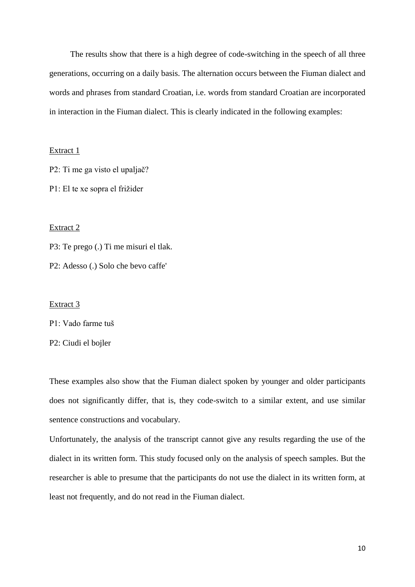The results show that there is a high degree of code-switching in the speech of all three generations, occurring on a daily basis. The alternation occurs between the Fiuman dialect and words and phrases from standard Croatian, i.e. words from standard Croatian are incorporated in interaction in the Fiuman dialect. This is clearly indicated in the following examples:

#### Extract 1

P2: Ti me ga visto el upaljač?

P1: El te xe sopra el frižider

#### Extract 2

P3: Te prego (.) Ti me misuri el tlak.

P2: Adesso (.) Solo che bevo caffe'

Extract 3

P1: Vado farme tuš

P2: Ciudi el bojler

These examples also show that the Fiuman dialect spoken by younger and older participants does not significantly differ, that is, they code-switch to a similar extent, and use similar sentence constructions and vocabulary.

Unfortunately, the analysis of the transcript cannot give any results regarding the use of the dialect in its written form. This study focused only on the analysis of speech samples. But the researcher is able to presume that the participants do not use the dialect in its written form, at least not frequently, and do not read in the Fiuman dialect.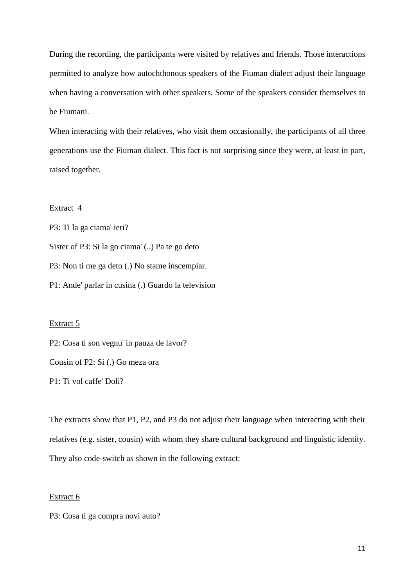During the recording, the participants were visited by relatives and friends. Those interactions permitted to analyze how autochthonous speakers of the Fiuman dialect adjust their language when having a conversation with other speakers. Some of the speakers consider themselves to be Fiumani.

When interacting with their relatives, who visit them occasionally, the participants of all three generations use the Fiuman dialect. This fact is not surprising since they were, at least in part, raised together.

#### Extract 4

P3: Ti la ga ciama' ieri? Sister of P3: Si la go ciama' (..) Pa te go deto P3: Non ti me ga deto (.) No stame inscempiar. P1: Ande' parlar in cusina (.) Guardo la television

#### Extract 5

P2: Cosa ti son vegnu' in pauza de lavor?

Cousin of P2: Si (.) Go meza ora

P1: Ti vol caffe' Doli?

The extracts show that P1, P2, and P3 do not adjust their language when interacting with their relatives (e.g. sister, cousin) with whom they share cultural background and linguistic identity. They also code-switch as shown in the following extract:

#### Extract 6

P3: Cosa ti ga compra novi auto?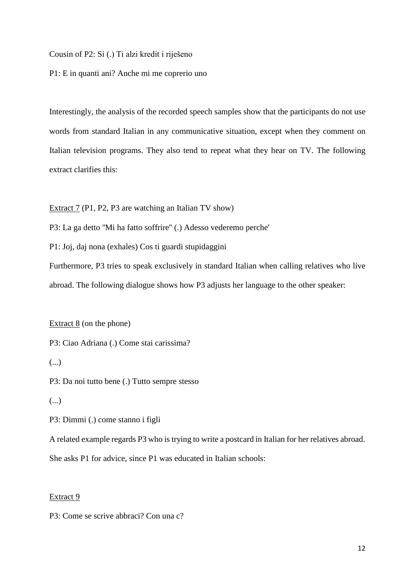Cousin of P2: Si (.) Ti alzi kredit i riješeno

P1: E in quanti ani? Anche mi me coprerio uno

Interestingly, the analysis of the recorded speech samples show that the participants do not use words from standard Italian in any communicative situation, except when they comment on Italian television programs. They also tend to repeat what they hear on TV. The following extract clarifies this:

Extract 7 (P1, P2, P3 are watching an Italian TV show)

P3: La ga detto ''Mi ha fatto soffrire'' (.) Adesso vederemo perche'

P1: Joj, daj nona (exhales) Cos ti guardi stupidaggini

Furthermore, P3 tries to speak exclusively in standard Italian when calling relatives who live abroad. The following dialogue shows how P3 adjusts her language to the other speaker:

Extract  $8$  (on the phone)

P3: Ciao Adriana (.) Come stai carissima?

(...)

P3: Da noi tutto bene (.) Tutto sempre stesso

(...)

P3: Dimmi (.) come stanno i figli

A related example regards P3 who is trying to write a postcard in Italian for her relatives abroad.

She asks P1 for advice, since P1 was educated in Italian schools:

#### Extract 9

P3: Come se scrive abbraci? Con una c?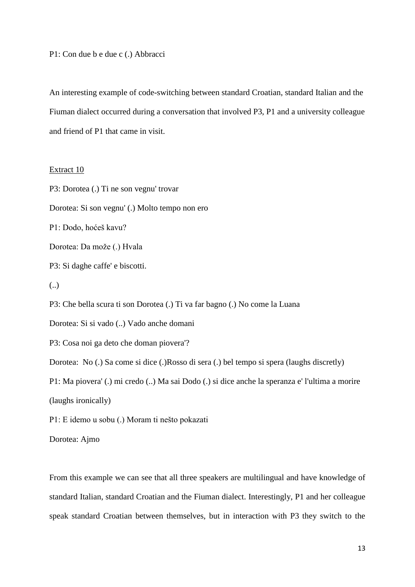P1: Con due b e due c (.) Abbracci

An interesting example of code-switching between standard Croatian, standard Italian and the Fiuman dialect occurred during a conversation that involved P3, P1 and a university colleague and friend of P1 that came in visit.

#### Extract 10

P3: Dorotea (.) Ti ne son vegnu' trovar Dorotea: Si son vegnu' (.) Molto tempo non ero P1: Dodo, hoćeš kavu? Dorotea: Da može (.) Hvala P3: Si daghe caffe' e biscotti. (..) P3: Che bella scura ti son Dorotea (.) Ti va far bagno (.) No come la Luana Dorotea: Si si vado (..) Vado anche domani P3: Cosa noi ga deto che doman piovera'? Dorotea: No (.) Sa come si dice (.)Rosso di sera (.) bel tempo si spera (laughs discretly) P1: Ma piovera' (.) mi credo (..) Ma sai Dodo (.) si dice anche la speranza e' l'ultima a morire (laughs ironically) P1: E idemo u sobu (.) Moram ti nešto pokazati Dorotea: Ajmo

From this example we can see that all three speakers are multilingual and have knowledge of standard Italian, standard Croatian and the Fiuman dialect. Interestingly, P1 and her colleague speak standard Croatian between themselves, but in interaction with P3 they switch to the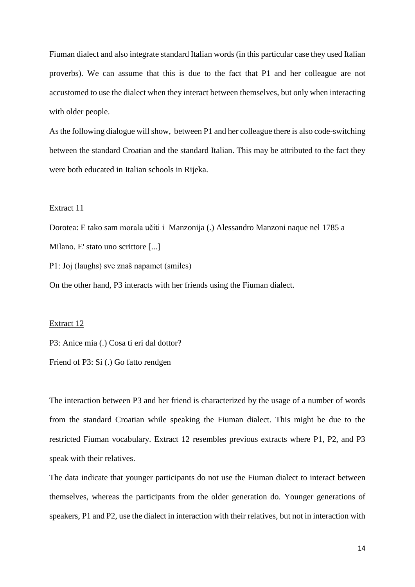Fiuman dialect and also integrate standard Italian words (in this particular case they used Italian proverbs). We can assume that this is due to the fact that P1 and her colleague are not accustomed to use the dialect when they interact between themselves, but only when interacting with older people.

As the following dialogue will show, between P1 and her colleague there is also code-switching between the standard Croatian and the standard Italian. This may be attributed to the fact they were both educated in Italian schools in Rijeka.

#### Extract 11

Dorotea: E tako sam morala učiti i Manzonija (.) Alessandro Manzoni naque nel 1785 a Milano. E' stato uno scrittore [...]

P1: Joj (laughs) sve znaš napamet (smiles)

On the other hand, P3 interacts with her friends using the Fiuman dialect.

#### Extract 12

P3: Anice mia (.) Cosa ti eri dal dottor?

Friend of P3: Si (.) Go fatto rendgen

The interaction between P3 and her friend is characterized by the usage of a number of words from the standard Croatian while speaking the Fiuman dialect. This might be due to the restricted Fiuman vocabulary. Extract 12 resembles previous extracts where P1, P2, and P3 speak with their relatives.

The data indicate that younger participants do not use the Fiuman dialect to interact between themselves, whereas the participants from the older generation do. Younger generations of speakers, P1 and P2, use the dialect in interaction with their relatives, but not in interaction with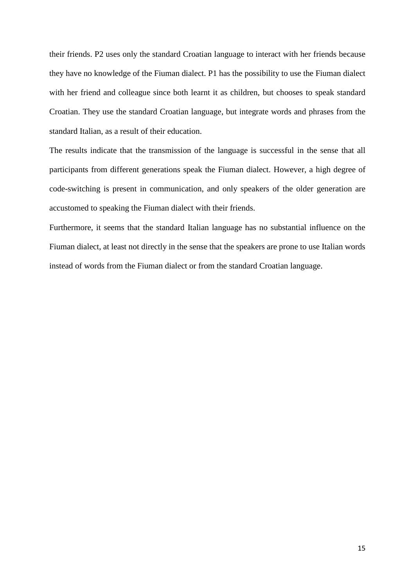their friends. P2 uses only the standard Croatian language to interact with her friends because they have no knowledge of the Fiuman dialect. P1 has the possibility to use the Fiuman dialect with her friend and colleague since both learnt it as children, but chooses to speak standard Croatian. They use the standard Croatian language, but integrate words and phrases from the standard Italian, as a result of their education.

The results indicate that the transmission of the language is successful in the sense that all participants from different generations speak the Fiuman dialect. However, a high degree of code-switching is present in communication, and only speakers of the older generation are accustomed to speaking the Fiuman dialect with their friends.

Furthermore, it seems that the standard Italian language has no substantial influence on the Fiuman dialect, at least not directly in the sense that the speakers are prone to use Italian words instead of words from the Fiuman dialect or from the standard Croatian language.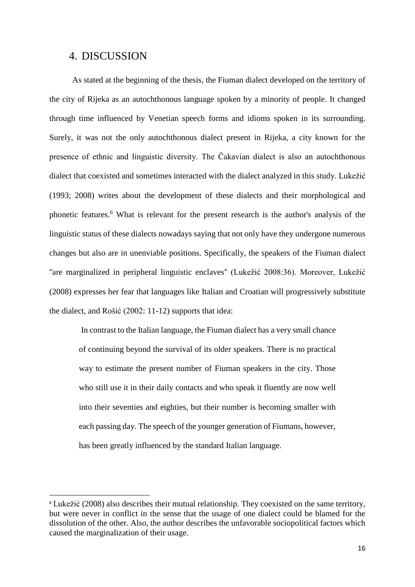## 4. DISCUSSION

**.** 

 As stated at the beginning of the thesis, the Fiuman dialect developed on the territory of the city of Rijeka as an autochthonous language spoken by a minority of people. It changed through time influenced by Venetian speech forms and idioms spoken in its surrounding. Surely, it was not the only autochthonous dialect present in Rijeka, a city known for the presence of ethnic and linguistic diversity. The Čakavian dialect is also an autochthonous dialect that coexisted and sometimes interacted with the dialect analyzed in this study. Lukežić (1993; 2008) writes about the development of these dialects and their morphological and phonetic features.<sup>6</sup> What is relevant for the present research is the author's analysis of the linguistic status of these dialects nowadays saying that not only have they undergone numerous changes but also are in unenviable positions. Specifically, the speakers of the Fiuman dialect "are marginalized in peripheral linguistic enclaves" (Lukežić 2008:36). Moreover, Lukežić (2008) expresses her fear that languages like Italian and Croatian will progressively substitute the dialect, and Rošić (2002: 11-12) supports that idea:

In contrast to the Italian language, the Fiuman dialect has a very small chance of continuing beyond the survival of its older speakers. There is no practical way to estimate the present number of Fiuman speakers in the city. Those who still use it in their daily contacts and who speak it fluently are now well into their seventies and eighties, but their number is becoming smaller with each passing day. The speech of the younger generation of Fiumans, however, has been greatly influenced by the standard Italian language.

<sup>&</sup>lt;sup>6</sup> Lukežić (2008) also describes their mutual relationship. They coexisted on the same territory, but were never in conflict in the sense that the usage of one dialect could be blamed for the dissolution of the other. Also, the author describes the unfavorable sociopolitical factors which caused the marginalization of their usage.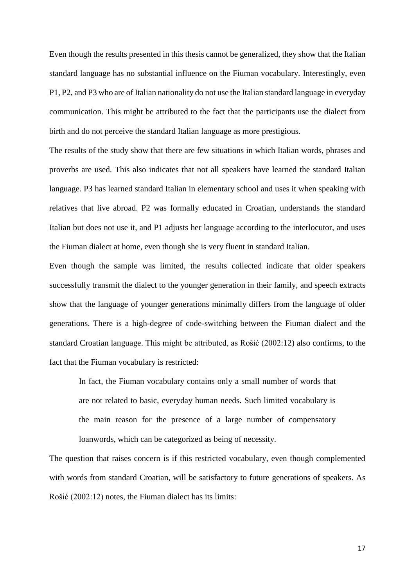Even though the results presented in this thesis cannot be generalized, they show that the Italian standard language has no substantial influence on the Fiuman vocabulary. Interestingly, even P1, P2, and P3 who are of Italian nationality do not use the Italian standard language in everyday communication. This might be attributed to the fact that the participants use the dialect from birth and do not perceive the standard Italian language as more prestigious.

The results of the study show that there are few situations in which Italian words, phrases and proverbs are used. This also indicates that not all speakers have learned the standard Italian language. P3 has learned standard Italian in elementary school and uses it when speaking with relatives that live abroad. P2 was formally educated in Croatian, understands the standard Italian but does not use it, and P1 adjusts her language according to the interlocutor, and uses the Fiuman dialect at home, even though she is very fluent in standard Italian.

Even though the sample was limited, the results collected indicate that older speakers successfully transmit the dialect to the younger generation in their family, and speech extracts show that the language of younger generations minimally differs from the language of older generations. There is a high-degree of code-switching between the Fiuman dialect and the standard Croatian language. This might be attributed, as Rošić (2002:12) also confirms, to the fact that the Fiuman vocabulary is restricted:

In fact, the Fiuman vocabulary contains only a small number of words that are not related to basic, everyday human needs. Such limited vocabulary is the main reason for the presence of a large number of compensatory loanwords, which can be categorized as being of necessity.

The question that raises concern is if this restricted vocabulary, even though complemented with words from standard Croatian, will be satisfactory to future generations of speakers. As Rošić (2002:12) notes, the Fiuman dialect has its limits: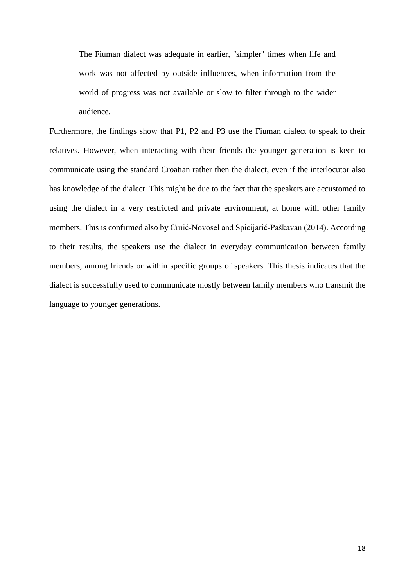The Fiuman dialect was adequate in earlier, ''simpler'' times when life and work was not affected by outside influences, when information from the world of progress was not available or slow to filter through to the wider audience.

Furthermore, the findings show that P1, P2 and P3 use the Fiuman dialect to speak to their relatives. However, when interacting with their friends the younger generation is keen to communicate using the standard Croatian rather then the dialect, even if the interlocutor also has knowledge of the dialect. This might be due to the fact that the speakers are accustomed to using the dialect in a very restricted and private environment, at home with other family members. This is confirmed also by Crnić-Novosel and Spicijarić-Paškavan (2014). According to their results, the speakers use the dialect in everyday communication between family members, among friends or within specific groups of speakers. This thesis indicates that the dialect is successfully used to communicate mostly between family members who transmit the language to younger generations.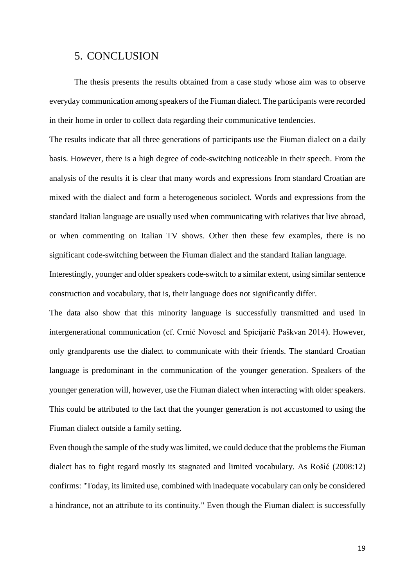### 5. CONCLUSION

 The thesis presents the results obtained from a case study whose aim was to observe everyday communication among speakers of the Fiuman dialect. The participants were recorded in their home in order to collect data regarding their communicative tendencies.

The results indicate that all three generations of participants use the Fiuman dialect on a daily basis. However, there is a high degree of code-switching noticeable in their speech. From the analysis of the results it is clear that many words and expressions from standard Croatian are mixed with the dialect and form a heterogeneous sociolect. Words and expressions from the standard Italian language are usually used when communicating with relatives that live abroad, or when commenting on Italian TV shows. Other then these few examples, there is no significant code-switching between the Fiuman dialect and the standard Italian language.

Interestingly, younger and older speakers code-switch to a similar extent, using similar sentence construction and vocabulary, that is, their language does not significantly differ.

The data also show that this minority language is successfully transmitted and used in intergenerational communication (cf. Crnić Novosel and Spicijarić Paškvan 2014). However, only grandparents use the dialect to communicate with their friends. The standard Croatian language is predominant in the communication of the younger generation. Speakers of the younger generation will, however, use the Fiuman dialect when interacting with older speakers. This could be attributed to the fact that the younger generation is not accustomed to using the Fiuman dialect outside a family setting.

Even though the sample of the study was limited, we could deduce that the problems the Fiuman dialect has to fight regard mostly its stagnated and limited vocabulary. As Rošić (2008:12) confirms: "Today, its limited use, combined with inadequate vocabulary can only be considered a hindrance, not an attribute to its continuity." Even though the Fiuman dialect is successfully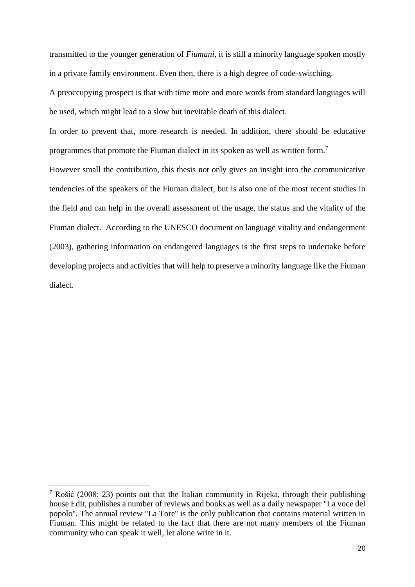transmitted to the younger generation of *Fiumani*, it is still a minority language spoken mostly in a private family environment. Even then, there is a high degree of code-switching. A preoccupying prospect is that with time more and more words from standard languages will be used, which might lead to a slow but inevitable death of this dialect.

In order to prevent that, more research is needed. In addition, there should be educative programmes that promote the Fiuman dialect in its spoken as well as written form.<sup>7</sup>

However small the contribution, this thesis not only gives an insight into the communicative tendencies of the speakers of the Fiuman dialect, but is also one of the most recent studies in the field and can help in the overall assessment of the usage, the status and the vitality of the Fiuman dialect. According to the UNESCO document on language vitality and endangerment (2003), gathering information on endangered languages is the first steps to undertake before developing projects and activities that will help to preserve a minority language like the Fiuman dialect.

 $\overline{a}$ 

<sup>&</sup>lt;sup>7</sup> Rošić (2008: 23) points out that the Italian community in Rijeka, through their publishing house Edit, publishes a number of reviews and books as well as a daily newspaper ''La voce del popolo''. The annual review ''La Tore'' is the only publication that contains material written in Fiuman. This might be related to the fact that there are not many members of the Fiuman community who can speak it well, let alone write in it.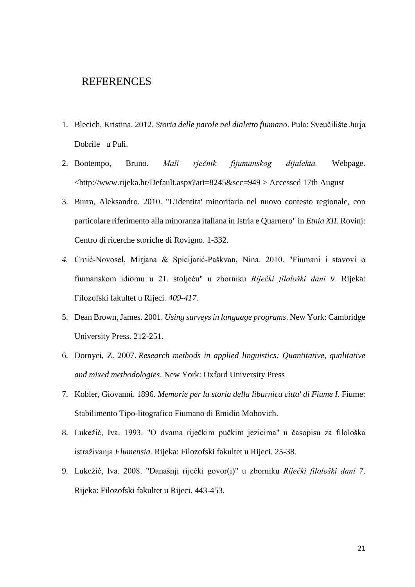# REFERENCES

- 1. Blecich, Kristina. 2012. *Storia delle parole nel dialetto fiumano*. Pula: Sveučilište Jurja Dobrile u Puli.
- 2. Bontempo, Bruno. *Mali rječnik fijumanskog dijalekta.* Webpage. <http://www.rijeka.hr/Default.aspx?art=8245&sec=949 > Accessed 17th August
- 3. Burra, Aleksandro. 2010. "L'identita' minoritaria nel nuovo contesto regionale, con particolare riferimento alla minoranza italiana in Istria e Quarnero" in *Etnia XII.* Rovinj: Centro di ricerche storiche di Rovigno. 1-332.
- *4.* Crnić-Novosel, Mirjana & Spicijarić-Paškvan, Nina. 2010. "Fiumani i stavovi o fiumanskom idiomu u 21. stoljeću" u zborniku *Riječki filološki dani 9.* Rijeka: Filozofski fakultet u Rijeci*. 409-417.*
- 5. Dean Brown, James. 2001. *Using surveys in language programs*. New York: Cambridge University Press. 212-251.
- 6. Dornyei, Z. 2007. *Research methods in applied linguistics: Quantitative, qualitative and mixed methodologies*. New York: Oxford University Press
- 7. Kobler, Giovanni. 1896. *Memorie per la storia della liburnica citta' di Fiume I*. Fiume: Stabilimento Tipo-litografico Fiumano di Emidio Mohovich.
- 8. Lukežič, Iva. 1993. "O dvama riječkim pučkim jezicima" u časopisu za filološka istraživanja *Flumensia.* Rijeka: Filozofski fakultet u Rijeci. 25-38.
- 9. Lukežić, Iva. 2008. "Današnji riječki govor(i)" u zborniku *Riječki filološki dani 7*. Rijeka: Filozofski fakultet u Rijeci. 443-453.